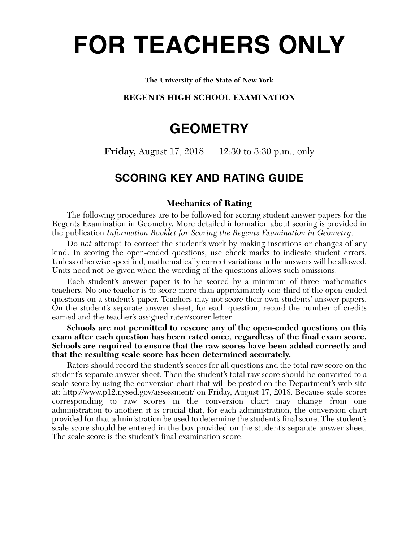# **FOR TEACHERS ONLY**

#### **The University of the State of New York**

#### **REGENTS HIGH SCHOOL EXAMINATION**

## **GEOMETRY**

**Friday,** August 17, 2018 — 12:30 to 3:30 p.m., only

## **SCORING KEY AND RATING GUIDE**

#### **Mechanics of Rating**

The following procedures are to be followed for scoring student answer papers for the Regents Examination in Geometry. More detailed information about scoring is provided in the publication *Information Booklet for Scoring the Regents Examination in Geometry*.

Do *not* attempt to correct the student's work by making insertions or changes of any kind. In scoring the open-ended questions, use check marks to indicate student errors. Unless otherwise specified, mathematically correct variations in the answers will be allowed. Units need not be given when the wording of the questions allows such omissions.

Each student's answer paper is to be scored by a minimum of three mathematics teachers. No one teacher is to score more than approximately one-third of the open-ended questions on a student's paper. Teachers may not score their own students' answer papers. On the student's separate answer sheet, for each question, record the number of credits earned and the teacher's assigned rater/scorer letter.

**Schools are not permitted to rescore any of the open-ended questions on this exam after each question has been rated once, regardless of the final exam score. Schools are required to ensure that the raw scores have been added correctly and that the resulting scale score has been determined accurately.**

Raters should record the student's scores for all questions and the total raw score on the student's separate answer sheet. Then the student's total raw score should be converted to a scale score by using the conversion chart that will be posted on the Department's web site at: http://www.p12.nysed.gov/assessment/ on Friday, August 17, 2018. Because scale scores corresponding to raw scores in the conversion chart may change from one administration to another, it is crucial that, for each administration, the conversion chart provided for that administration be used to determine the student's final score. The student's scale score should be entered in the box provided on the student's separate answer sheet. The scale score is the student's final examination score.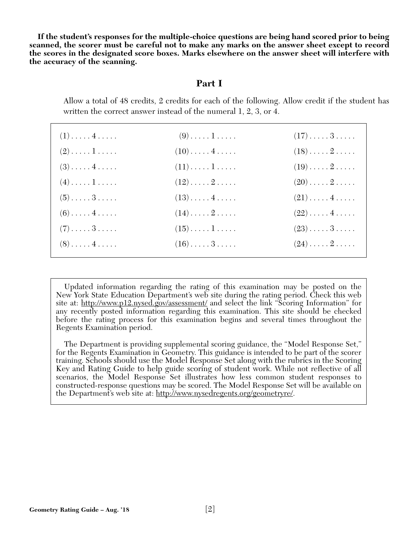**If the student's responses for the multiple-choice questions are being hand scored prior to being scanned, the scorer must be careful not to make any marks on the answer sheet except to record the scores in the designated score boxes. Marks elsewhere on the answer sheet will interfere with the accuracy of the scanning.**

### **Part I**

Allow a total of 48 credits, 2 credits for each of the following. Allow credit if the student has written the correct answer instead of the numeral 1, 2, 3, or 4.

| $(1) \ldots \ldots 4 \ldots$ | $(9) \ldots \ldots 1 \ldots$  | $(17)\ldots\ldots\,3\ldots\ldots$ |
|------------------------------|-------------------------------|-----------------------------------|
| $(2) \ldots \ldots 1 \ldots$ | $(10) \ldots \ldots 4 \ldots$ | $(18)\ldots 2 \ldots$             |
| $(3) \ldots \ldots 4 \ldots$ | $(11)\ldots\ldots\ldots$      | $(19)\ldots 2 \ldots$             |
| $(4) \ldots \ldots 1 \ldots$ | $(12)\ldots 2 \ldots$         | $(20)\ldots\ldots 2\ldots\ldots$  |
| $(5) \ldots \ldots 3 \ldots$ | $(13)\ldots(4\ldots)$         | $(21)\ldots$ . 4                  |
| $(6) \ldots \ldots 4 \ldots$ | $(14)\ldots 2 \ldots$         | $(22)\ldots$ . 4                  |
| $(7) \ldots \ldots 3 \ldots$ | $(15)\ldots\ldots\ldots$      | $(23) \ldots 3 \ldots$            |
| $(8) \ldots \ldots 4 \ldots$ | $(16)\ldots\ldots 3\ldots$    | $(24)\ldots 2 \ldots$             |

Updated information regarding the rating of this examination may be posted on the New York State Education Department's web site during the rating period. Check this web site at: http://www.p12.nysed.gov/assessment/ and select the link "Scoring Information" for any recently posted information regarding this examination. This site should be checked before the rating process for this examination begins and several times throughout the Regents Examination period.

The Department is providing supplemental scoring guidance, the "Model Response Set," for the Regents Examination in Geometry. This guidance is intended to be part of the scorer training. Schools should use the Model Response Set along with the rubrics in the Scoring Key and Rating Guide to help guide scoring of student work. While not reflective of all scenarios, the Model Response Set illustrates how less common student responses to constructed-response questions may be scored. The Model Response Set will be available on the Department's web site at: http://www.nysedregents.org/geometryre/.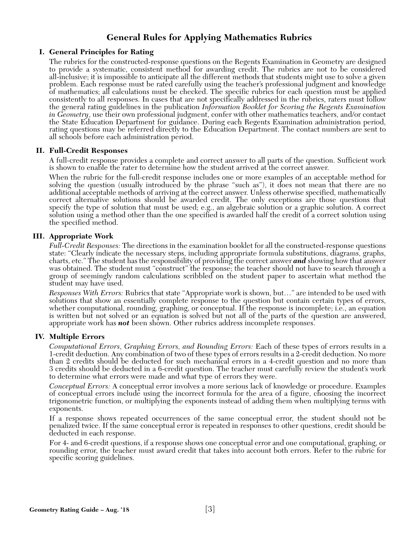## **General Rules for Applying Mathematics Rubrics**

#### **I. General Principles for Rating**

The rubrics for the constructed-response questions on the Regents Examination in Geometry are designed to provide a systematic, consistent method for awarding credit. The rubrics are not to be considered all-inclusive; it is impossible to anticipate all the different methods that students might use to solve a given problem. Each response must be rated carefully using the teacher's professional judgment and knowledge of mathematics; all calculations must be checked. The specific rubrics for each question must be applied consistently to all responses. In cases that are not specifically addressed in the rubrics, raters must follow the general rating guidelines in the publication *Information Booklet for Scoring the Regents Examination in Geometry*, use their own professional judgment, confer with other mathematics teachers, and/or contact the State Education Department for guidance. During each Regents Examination administration period, rating questions may be referred directly to the Education Department. The contact numbers are sent to all schools before each administration period.

#### **II. Full-Credit Responses**

A full-credit response provides a complete and correct answer to all parts of the question. Sufficient work is shown to enable the rater to determine how the student arrived at the correct answer.

When the rubric for the full-credit response includes one or more examples of an acceptable method for solving the question (usually introduced by the phrase "such as"), it does not mean that there are no additional acceptable methods of arriving at the correct answer. Unless otherwise specified, mathematically correct alternative solutions should be awarded credit. The only exceptions are those questions that specify the type of solution that must be used; e.g., an algebraic solution or a graphic solution. A correct solution using a method other than the one specified is awarded half the credit of a correct solution using the specified method.

#### **III. Appropriate Work**

*Full-Credit Responses:* The directions in the examination booklet for all the constructed-response questions state: "Clearly indicate the necessary steps, including appropriate formula substitutions, diagrams, graphs, charts, etc." The student has the responsibility of providing the correct answer *and* showing how that answer was obtained. The student must "construct" the response; the teacher should not have to search through a group of seemingly random calculations scribbled on the student paper to ascertain what method the student may have used.

*Responses With Errors:* Rubrics that state "Appropriate work is shown, but…" are intended to be used with solutions that show an essentially complete response to the question but contain certain types of errors, whether computational, rounding, graphing, or conceptual. If the response is incomplete; i.e., an equation is written but not solved or an equation is solved but not all of the parts of the question are answered, appropriate work has *not* been shown. Other rubrics address incomplete responses.

#### **IV. Multiple Errors**

*Computational Errors, Graphing Errors, and Rounding Errors:* Each of these types of errors results in a 1-credit deduction. Any combination of two of these types of errors results in a 2-credit deduction. No more than 2 credits should be deducted for such mechanical errors in a 4-credit question and no more than 3 credits should be deducted in a 6-credit question. The teacher must carefully review the student's work to determine what errors were made and what type of errors they were.

*Conceptual Errors:* A conceptual error involves a more serious lack of knowledge or procedure. Examples of conceptual errors include using the incorrect formula for the area of a figure, choosing the incorrect trigonometric function, or multiplying the exponents instead of adding them when multiplying terms with exponents.

If a response shows repeated occurrences of the same conceptual error, the student should not be penalized twice. If the same conceptual error is repeated in responses to other questions, credit should be deducted in each response.

For 4- and 6-credit questions, if a response shows one conceptual error and one computational, graphing, or rounding error, the teacher must award credit that takes into account both errors. Refer to the rubric for specific scoring guidelines.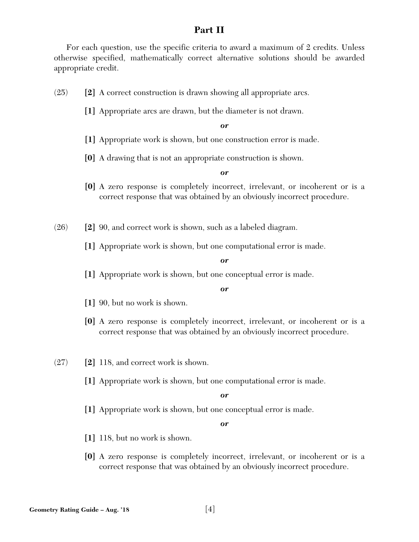## **Part II**

For each question, use the specific criteria to award a maximum of 2 credits. Unless otherwise specified, mathematically correct alternative solutions should be awarded appropriate credit.

- (25) **[2]** A correct construction is drawn showing all appropriate arcs.
	- **[1]** Appropriate arcs are drawn, but the diameter is not drawn.

*or*

- **[1]** Appropriate work is shown, but one construction error is made.
- **[0]** A drawing that is not an appropriate construction is shown.

*or*

**[0]** A zero response is completely incorrect, irrelevant, or incoherent or is a correct response that was obtained by an obviously incorrect procedure.

(26) **[2]** 90, and correct work is shown, such as a labeled diagram.

**[1]** Appropriate work is shown, but one computational error is made.

#### *or*

**[1]** Appropriate work is shown, but one conceptual error is made.

#### *or*

- **[1]** 90, but no work is shown.
- **[0]** A zero response is completely incorrect, irrelevant, or incoherent or is a correct response that was obtained by an obviously incorrect procedure.
- (27) **[2]** 118, and correct work is shown.
	- **[1]** Appropriate work is shown, but one computational error is made.

*or*

**[1]** Appropriate work is shown, but one conceptual error is made.

- **[1]** 118, but no work is shown.
- **[0]** A zero response is completely incorrect, irrelevant, or incoherent or is a correct response that was obtained by an obviously incorrect procedure.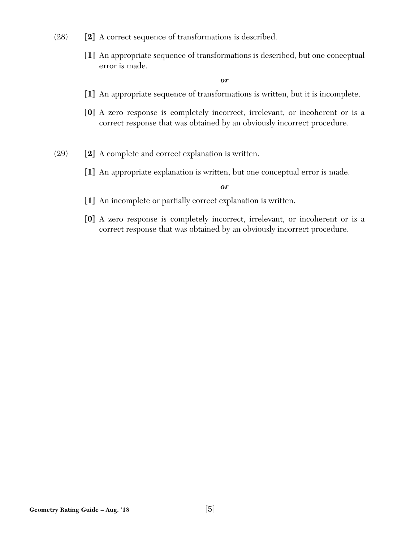- (28) **[2]** A correct sequence of transformations is described.
	- **[1]** An appropriate sequence of transformations is described, but one conceptual error is made.

*or*

- **[1]** An appropriate sequence of transformations is written, but it is incomplete.
- **[0]** A zero response is completely incorrect, irrelevant, or incoherent or is a correct response that was obtained by an obviously incorrect procedure.
- (29) **[2]** A complete and correct explanation is written.
	- **[1]** An appropriate explanation is written, but one conceptual error is made.

- **[1]** An incomplete or partially correct explanation is written.
- **[0]** A zero response is completely incorrect, irrelevant, or incoherent or is a correct response that was obtained by an obviously incorrect procedure.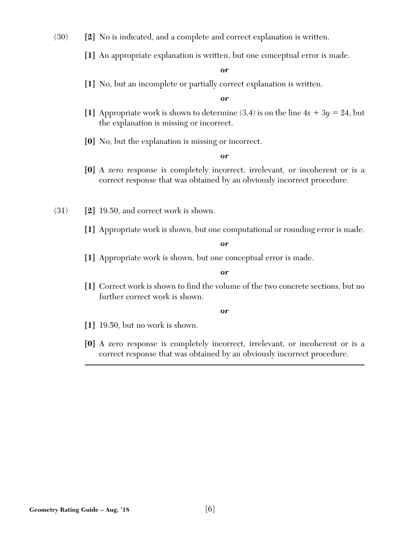(30) **[2]** No is indicated, and a complete and correct explanation is written.

**[1]** An appropriate explanation is written, but one conceptual error is made.

*or*

**[1]** No, but an incomplete or partially correct explanation is written.

*or*

- [1] Appropriate work is shown to determine  $(3,4)$  is on the line  $4x + 3y = 24$ , but the explanation is missing or incorrect.
- **[0]** No, but the explanation is missing or incorrect.

*or*

- **[0]** A zero response is completely incorrect, irrelevant, or incoherent or is a correct response that was obtained by an obviously incorrect procedure.
- (31) **[2]** 19.50, and correct work is shown.
	- **[1]** Appropriate work is shown, but one computational or rounding error is made.

*or*

**[1]** Appropriate work is shown, but one conceptual error is made.

*or*

**[1]** Correct work is shown to find the volume of the two concrete sections, but no further correct work is shown.

- **[1]** 19.50, but no work is shown.
- **[0]** A zero response is completely incorrect, irrelevant, or incoherent or is a correct response that was obtained by an obviously incorrect procedure.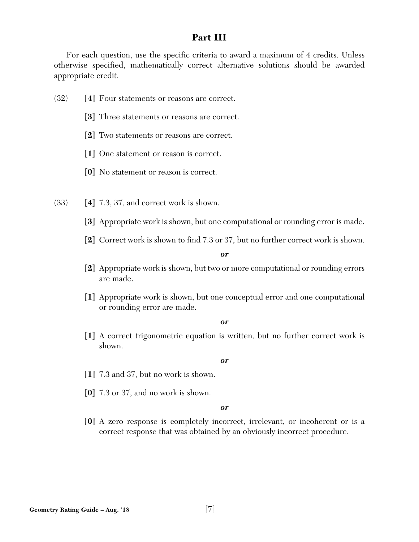## **Part III**

For each question, use the specific criteria to award a maximum of 4 credits. Unless otherwise specified, mathematically correct alternative solutions should be awarded appropriate credit.

- (32) **[4]** Four statements or reasons are correct.
	- **[3]** Three statements or reasons are correct.
	- **[2]** Two statements or reasons are correct.
	- **[1]** One statement or reason is correct.
	- **[0]** No statement or reason is correct.
- (33) **[4]** 7.3, 37, and correct work is shown.
	- **[3]** Appropriate work is shown, but one computational or rounding error is made.
	- **[2]** Correct work is shown to find 7.3 or 37, but no further correct work is shown.

*or*

- **[2]** Appropriate work is shown, but two or more computational or rounding errors are made.
- **[1]** Appropriate work is shown, but one conceptual error and one computational or rounding error are made.

*or*

**[1]** A correct trigonometric equation is written, but no further correct work is shown.

*or*

- **[1]** 7.3 and 37, but no work is shown.
- **[0]** 7.3 or 37, and no work is shown.

*or*

**[0]** A zero response is completely incorrect, irrelevant, or incoherent or is a correct response that was obtained by an obviously incorrect procedure.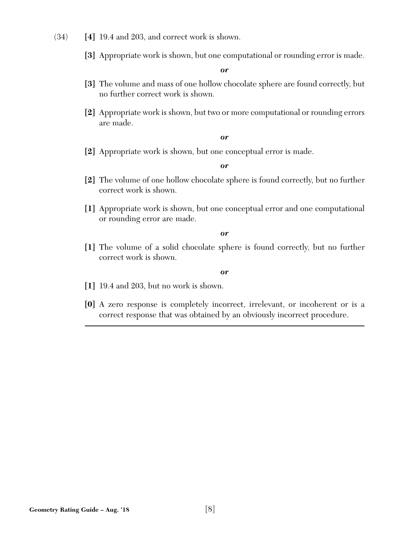- (34) **[4]** 19.4 and 203, and correct work is shown.
	- **[3]** Appropriate work is shown, but one computational or rounding error is made.

*or*

- **[3]** The volume and mass of one hollow chocolate sphere are found correctly, but no further correct work is shown.
- **[2]** Appropriate work is shown, but two or more computational or rounding errors are made.

#### *or*

**[2]** Appropriate work is shown, but one conceptual error is made.

*or*

- **[2]** The volume of one hollow chocolate sphere is found correctly, but no further correct work is shown.
- **[1]** Appropriate work is shown, but one conceptual error and one computational or rounding error are made.

*or*

**[1]** The volume of a solid chocolate sphere is found correctly, but no further correct work is shown.

- **[1]** 19.4 and 203, but no work is shown.
- **[0]** A zero response is completely incorrect, irrelevant, or incoherent or is a correct response that was obtained by an obviously incorrect procedure.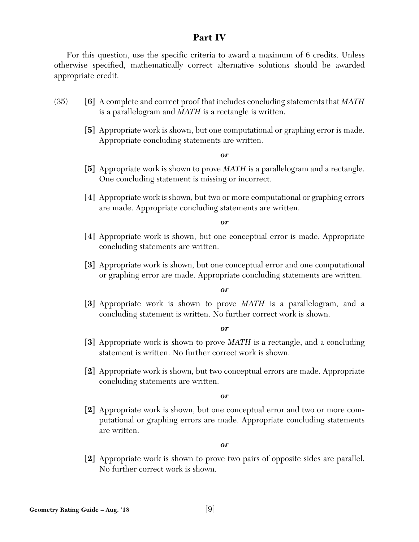## **Part IV**

For this question, use the specific criteria to award a maximum of 6 credits. Unless otherwise specified, mathematically correct alternative solutions should be awarded appropriate credit.

- (35) **[6]** A complete and correct proof that includes concluding statements that *MATH* is a parallelogram and *MATH* is a rectangle is written.
	- **[5]** Appropriate work is shown, but one computational or graphing error is made. Appropriate concluding statements are written.

#### *or*

- **[5]** Appropriate work is shown to prove *MATH* is a parallelogram and a rectangle. One concluding statement is missing or incorrect.
- **[4]** Appropriate work is shown, but two or more computational or graphing errors are made. Appropriate concluding statements are written.

#### *or*

- **[4]** Appropriate work is shown, but one conceptual error is made. Appropriate concluding statements are written.
- **[3]** Appropriate work is shown, but one conceptual error and one computational or graphing error are made. Appropriate concluding statements are written.

#### *or*

**[3]** Appropriate work is shown to prove *MATH* is a parallelogram, and a concluding statement is written. No further correct work is shown.

#### *or*

- **[3]** Appropriate work is shown to prove *MATH* is a rectangle, and a concluding statement is written. No further correct work is shown.
- **[2]** Appropriate work is shown, but two conceptual errors are made. Appropriate concluding statements are written.

#### *or*

**[2]** Appropriate work is shown, but one conceptual error and two or more computational or graphing errors are made. Appropriate concluding statements are written.

#### *or*

**[2]** Appropriate work is shown to prove two pairs of opposite sides are parallel. No further correct work is shown.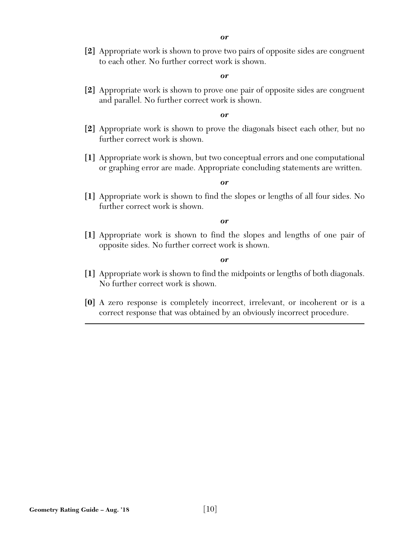**[2]** Appropriate work is shown to prove two pairs of opposite sides are congruent to each other. No further correct work is shown.

#### *or*

**[2]** Appropriate work is shown to prove one pair of opposite sides are congruent and parallel. No further correct work is shown.

#### *or*

- **[2]** Appropriate work is shown to prove the diagonals bisect each other, but no further correct work is shown.
- **[1]** Appropriate work is shown, but two conceptual errors and one computational or graphing error are made. Appropriate concluding statements are written.

#### *or*

**[1]** Appropriate work is shown to find the slopes or lengths of all four sides. No further correct work is shown.

#### *or*

**[1]** Appropriate work is shown to find the slopes and lengths of one pair of opposite sides. No further correct work is shown.

- **[1]** Appropriate work is shown to find the midpoints or lengths of both diagonals. No further correct work is shown.
- **[0]** A zero response is completely incorrect, irrelevant, or incoherent or is a correct response that was obtained by an obviously incorrect procedure.